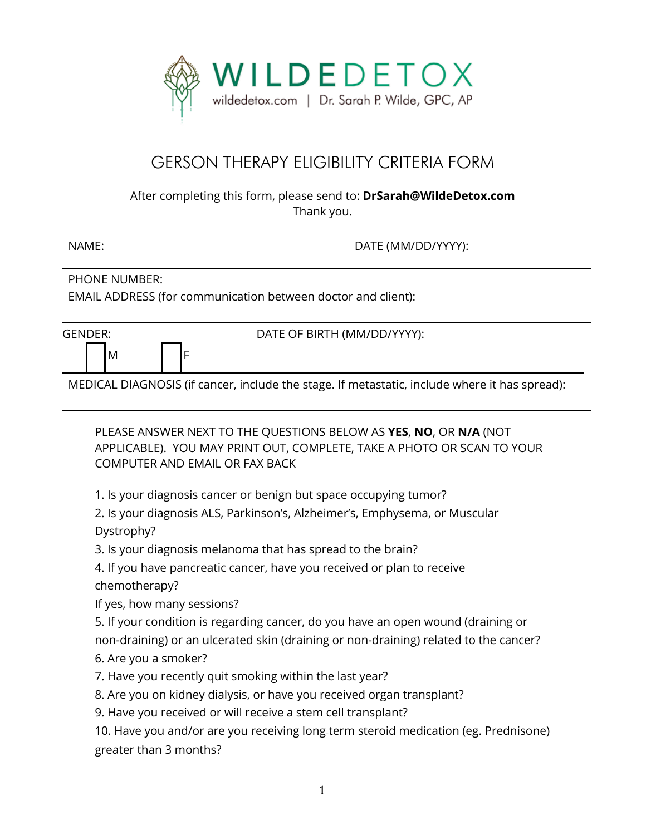

## GERSON THERAPY ELIGIBILITY CRITERIA FORM

## After completing this form, please send to: **DrSarah@WildeDetox.com** Thank you.

| NAME:                                                                                         | DATE (MM/DD/YYYY):          |
|-----------------------------------------------------------------------------------------------|-----------------------------|
| <b>PHONE NUMBER:</b><br>EMAIL ADDRESS (for communication between doctor and client):          |                             |
| <b>IGENDER:</b><br>١F<br>M                                                                    | DATE OF BIRTH (MM/DD/YYYY): |
| MEDICAL DIAGNOSIS (if cancer, include the stage. If metastatic, include where it has spread): |                             |

PLEASE ANSWER NEXT TO THE QUESTIONS BELOW AS **YES**, **NO**, OR **N/A** (NOT APPLICABLE). YOU MAY PRINT OUT, COMPLETE, TAKE A PHOTO OR SCAN TO YOUR COMPUTER AND EMAIL OR FAX BACK

1. Is your diagnosis cancer or benign but space occupying tumor?

2. Is your diagnosis ALS, Parkinson's, Alzheimer's, Emphysema, or Muscular Dystrophy?

3. Is your diagnosis melanoma that has spread to the brain?

4. If you have pancreatic cancer, have you received or plan to receive chemotherapy?

If yes, how many sessions?

5. If your condition is regarding cancer, do you have an open wound (draining or non-draining) or an ulcerated skin (draining or non-draining) related to the cancer?

6. Are you a smoker?

7. Have you recently quit smoking within the last year?

8. Are you on kidney dialysis, or have you received organ transplant?

9. Have you received or will receive a stem cell transplant?

10. Have you and/or are you receiving long‐term steroid medication (eg. Prednisone) greater than 3 months?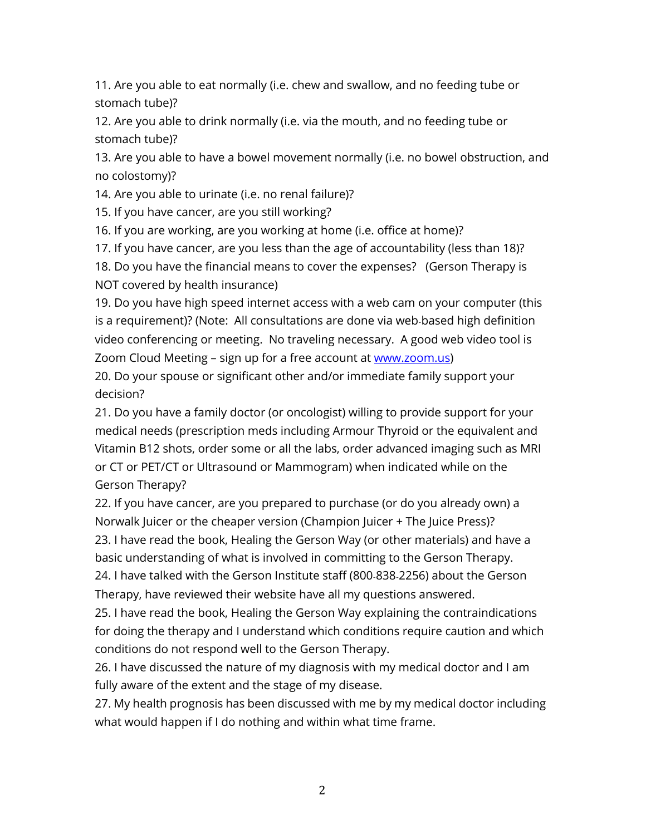11. Are you able to eat normally (i.e. chew and swallow, and no feeding tube or stomach tube)?

12. Are you able to drink normally (i.e. via the mouth, and no feeding tube or stomach tube)?

13. Are you able to have a bowel movement normally (i.e. no bowel obstruction, and no colostomy)?

14. Are you able to urinate (i.e. no renal failure)?

15. If you have cancer, are you still working?

16. If you are working, are you working at home (i.e. office at home)?

17. If you have cancer, are you less than the age of accountability (less than 18)?

18. Do you have the financial means to cover the expenses? (Gerson Therapy is NOT covered by health insurance)

19. Do you have high speed internet access with a web cam on your computer (this is a requirement)? (Note: All consultations are done via web‐based high definition video conferencing or meeting. No traveling necessary. A good web video tool is Zoom Cloud Meeting - sign up for a free account at www.zoom.us)

20. Do your spouse or significant other and/or immediate family support your decision?

21. Do you have a family doctor (or oncologist) willing to provide support for your medical needs (prescription meds including Armour Thyroid or the equivalent and Vitamin B12 shots, order some or all the labs, order advanced imaging such as MRI or CT or PET/CT or Ultrasound or Mammogram) when indicated while on the Gerson Therapy?

22. If you have cancer, are you prepared to purchase (or do you already own) a Norwalk Juicer or the cheaper version (Champion Juicer + The Juice Press)?

23. I have read the book, Healing the Gerson Way (or other materials) and have a basic understanding of what is involved in committing to the Gerson Therapy.

24. I have talked with the Gerson Institute staff (800‐838‐2256) about the Gerson Therapy, have reviewed their website have all my questions answered.

25. I have read the book, Healing the Gerson Way explaining the contraindications for doing the therapy and I understand which conditions require caution and which conditions do not respond well to the Gerson Therapy.

26. I have discussed the nature of my diagnosis with my medical doctor and I am fully aware of the extent and the stage of my disease.

27. My health prognosis has been discussed with me by my medical doctor including what would happen if I do nothing and within what time frame.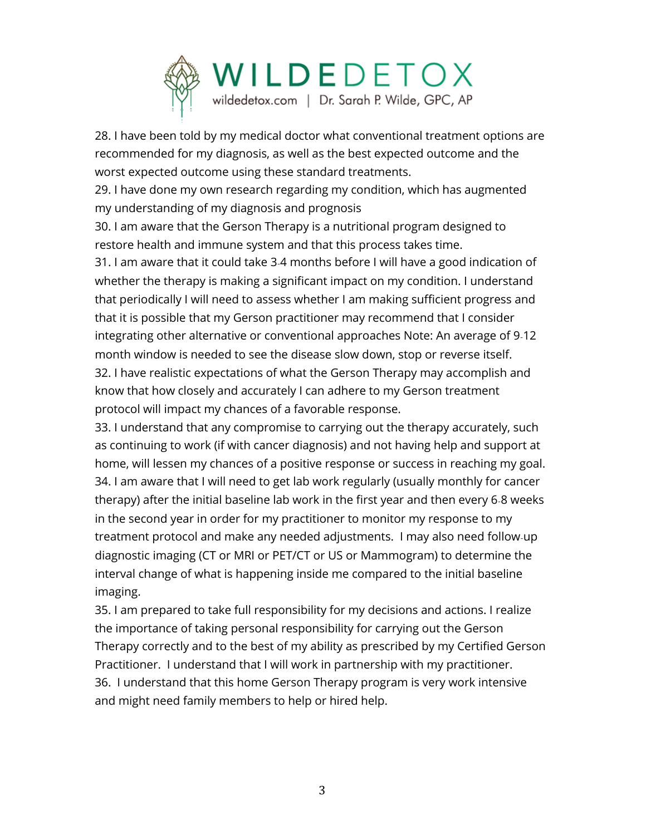

28. I have been told by my medical doctor what conventional treatment options are recommended for my diagnosis, as well as the best expected outcome and the worst expected outcome using these standard treatments.

29. I have done my own research regarding my condition, which has augmented my understanding of my diagnosis and prognosis

30. I am aware that the Gerson Therapy is a nutritional program designed to restore health and immune system and that this process takes time.

31. I am aware that it could take 3‐4 months before I will have a good indication of whether the therapy is making a significant impact on my condition. I understand that periodically I will need to assess whether I am making sufficient progress and that it is possible that my Gerson practitioner may recommend that I consider integrating other alternative or conventional approaches Note: An average of 9‐12 month window is needed to see the disease slow down, stop or reverse itself. 32. I have realistic expectations of what the Gerson Therapy may accomplish and know that how closely and accurately I can adhere to my Gerson treatment protocol will impact my chances of a favorable response.

33. I understand that any compromise to carrying out the therapy accurately, such as continuing to work (if with cancer diagnosis) and not having help and support at home, will lessen my chances of a positive response or success in reaching my goal. 34. I am aware that I will need to get lab work regularly (usually monthly for cancer therapy) after the initial baseline lab work in the first year and then every 6‐8 weeks in the second year in order for my practitioner to monitor my response to my treatment protocol and make any needed adjustments. I may also need follow‐up diagnostic imaging (CT or MRI or PET/CT or US or Mammogram) to determine the interval change of what is happening inside me compared to the initial baseline imaging.

35. I am prepared to take full responsibility for my decisions and actions. I realize the importance of taking personal responsibility for carrying out the Gerson Therapy correctly and to the best of my ability as prescribed by my Certified Gerson Practitioner. I understand that I will work in partnership with my practitioner. 36. I understand that this home Gerson Therapy program is very work intensive and might need family members to help or hired help.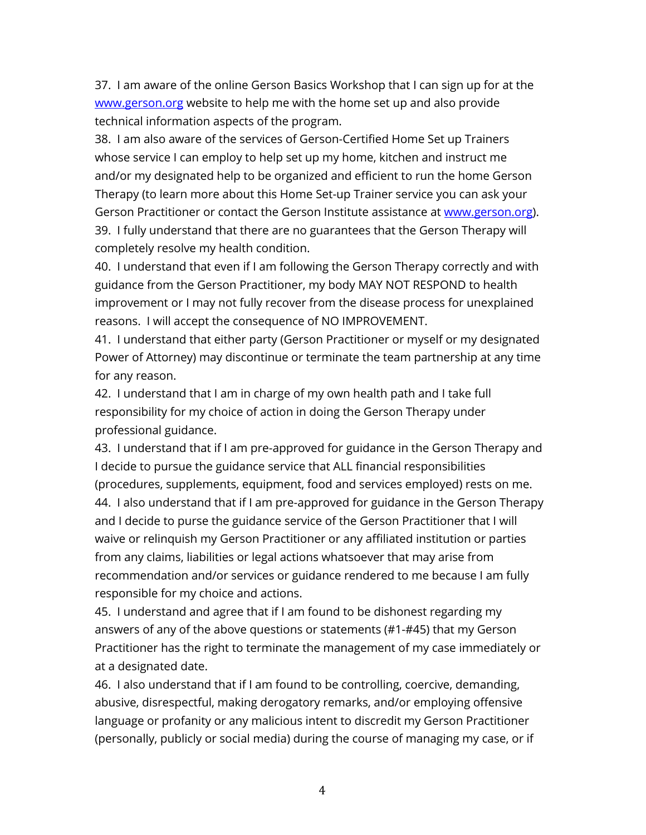37. I am aware of the online Gerson Basics Workshop that I can sign up for at the www.gerson.org website to help me with the home set up and also provide technical information aspects of the program.

38. I am also aware of the services of Gerson-Certified Home Set up Trainers whose service I can employ to help set up my home, kitchen and instruct me and/or my designated help to be organized and efficient to run the home Gerson Therapy (to learn more about this Home Set-up Trainer service you can ask your Gerson Practitioner or contact the Gerson Institute assistance at www.gerson.org). 39. I fully understand that there are no guarantees that the Gerson Therapy will completely resolve my health condition.

40. I understand that even if I am following the Gerson Therapy correctly and with guidance from the Gerson Practitioner, my body MAY NOT RESPOND to health improvement or I may not fully recover from the disease process for unexplained reasons. I will accept the consequence of NO IMPROVEMENT.

41. I understand that either party (Gerson Practitioner or myself or my designated Power of Attorney) may discontinue or terminate the team partnership at any time for any reason.

42. I understand that I am in charge of my own health path and I take full responsibility for my choice of action in doing the Gerson Therapy under professional guidance.

43. I understand that if I am pre-approved for guidance in the Gerson Therapy and I decide to pursue the guidance service that ALL financial responsibilities (procedures, supplements, equipment, food and services employed) rests on me. 44. I also understand that if I am pre-approved for guidance in the Gerson Therapy and I decide to purse the guidance service of the Gerson Practitioner that I will waive or relinquish my Gerson Practitioner or any affiliated institution or parties from any claims, liabilities or legal actions whatsoever that may arise from recommendation and/or services or guidance rendered to me because I am fully responsible for my choice and actions.

45. I understand and agree that if I am found to be dishonest regarding my answers of any of the above questions or statements (#1-#45) that my Gerson Practitioner has the right to terminate the management of my case immediately or at a designated date.

46. I also understand that if I am found to be controlling, coercive, demanding, abusive, disrespectful, making derogatory remarks, and/or employing offensive language or profanity or any malicious intent to discredit my Gerson Practitioner (personally, publicly or social media) during the course of managing my case, or if